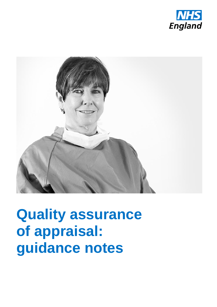



# **Quality assurance of appraisal: guidance notes**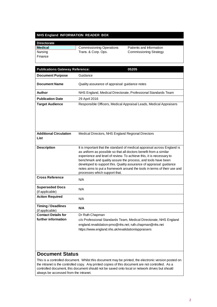#### **NHS England INFORMATION READER BOX**

| <b>Directorate</b> |                                 |                               |
|--------------------|---------------------------------|-------------------------------|
| <b>Medical</b>     | <b>Commissioning Operations</b> | Patients and Information      |
| Nursing<br>Finance | Trans. & Corp. Ops.             | <b>Commissioning Strategy</b> |

| <b>Publications Gateway Reference:</b><br>05205 |                                                                                                                                                                                                                                                                                                                                                                                                                                                                           |  |
|-------------------------------------------------|---------------------------------------------------------------------------------------------------------------------------------------------------------------------------------------------------------------------------------------------------------------------------------------------------------------------------------------------------------------------------------------------------------------------------------------------------------------------------|--|
| <b>Document Purpose</b>                         | Guidance                                                                                                                                                                                                                                                                                                                                                                                                                                                                  |  |
| <b>Document Name</b>                            | Quality assurance of appraisal: guidance notes                                                                                                                                                                                                                                                                                                                                                                                                                            |  |
| Author                                          | NHS England, Medical Directorate, Professional Standards Team                                                                                                                                                                                                                                                                                                                                                                                                             |  |
| <b>Publication Date</b>                         | 29 April 2016                                                                                                                                                                                                                                                                                                                                                                                                                                                             |  |
| <b>Target Audience</b>                          | Responsible Officers, Medical Appraisal Leads, Medical Appraisers                                                                                                                                                                                                                                                                                                                                                                                                         |  |
|                                                 |                                                                                                                                                                                                                                                                                                                                                                                                                                                                           |  |
|                                                 |                                                                                                                                                                                                                                                                                                                                                                                                                                                                           |  |
| <b>Additional Circulation</b><br>List           | Medical Directors, NHS England Regional Directors                                                                                                                                                                                                                                                                                                                                                                                                                         |  |
| <b>Description</b>                              | It is important that the standard of medical appraisal across England is<br>as uniform as possible so that all doctors benefit from a similar<br>experience and level of review. To achieve this, it is necessary to<br>benchmark and quality assure the process, and tools have been<br>developed to support this. Quality assurance of appraisal: guidance<br>notes aims to put a framework around the tools in terms of their use and<br>processes which support that. |  |
| <b>Cross Reference</b>                          | N/A                                                                                                                                                                                                                                                                                                                                                                                                                                                                       |  |
| <b>Superseded Docs</b><br>(if applicable)       | N/A                                                                                                                                                                                                                                                                                                                                                                                                                                                                       |  |
| <b>Action Required</b>                          | N/A                                                                                                                                                                                                                                                                                                                                                                                                                                                                       |  |
| <b>Timing / Deadlines</b><br>(if applicable)    | N/A                                                                                                                                                                                                                                                                                                                                                                                                                                                                       |  |
| <b>Contact Details for</b>                      | Dr Ruth Chapman                                                                                                                                                                                                                                                                                                                                                                                                                                                           |  |
| further information                             | c/o Professional Standards Team, Medical Directorate, NHS England                                                                                                                                                                                                                                                                                                                                                                                                         |  |
|                                                 | england.revalidation-pmo@nhs.net; ruth.chapman@nhs.net                                                                                                                                                                                                                                                                                                                                                                                                                    |  |
|                                                 | https://www.england.nhs.uk/revalidation/appraisers                                                                                                                                                                                                                                                                                                                                                                                                                        |  |

# **Document Status**

This is a controlled document. Whilst this document may be printed, the electronic version posted on the intranet is the controlled copy. Any printed copies of this document are not controlled. As a controlled document, this document should not be saved onto local or network drives but should always be accessed from the intranet.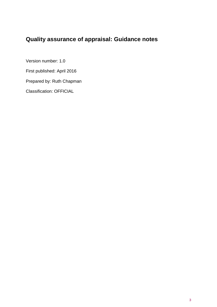# **Quality assurance of appraisal: Guidance notes**

Version number: 1.0

First published: April 2016

Prepared by: Ruth Chapman

Classification: OFFICIAL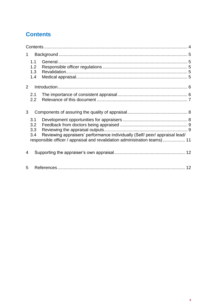# <span id="page-3-0"></span>**Contents**

| 1 |                          |                                                                                                                                                           |  |
|---|--------------------------|-----------------------------------------------------------------------------------------------------------------------------------------------------------|--|
|   | 1.1<br>1.2<br>1.3<br>1.4 |                                                                                                                                                           |  |
| 2 |                          |                                                                                                                                                           |  |
|   | 2.1<br>2.2               |                                                                                                                                                           |  |
| 3 |                          |                                                                                                                                                           |  |
|   | 3.1<br>3.2<br>3.3<br>3.4 | Reviewing appraisers' performance individually (Self/ peer/ appraisal lead/<br>responsible officer / appraisal and revalidation administration teams)  11 |  |
| 4 |                          |                                                                                                                                                           |  |
| 5 |                          |                                                                                                                                                           |  |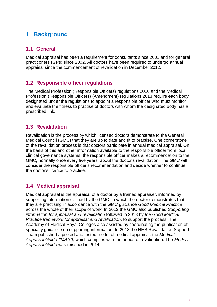# <span id="page-4-0"></span>**1 Background**

## <span id="page-4-1"></span>**1.1 General**

Medical appraisal has been a requirement for consultants since 2001 and for general practitioners (GPs) since 2002. All doctors have been required to undergo annual appraisal since the commencement of revalidation in December 2012.

## <span id="page-4-2"></span>**1.2 Responsible officer regulations**

The Medical Profession (Responsible Officers) regulations 2010 and the Medical Profession (Responsible Officers) (Amendment) regulations 2013 require each body designated under the regulations to appoint a responsible officer who must monitor and evaluate the fitness to practise of doctors with whom the designated body has a prescribed link.

# <span id="page-4-3"></span>**1.3 Revalidation**

Revalidation is the process by which licensed doctors demonstrate to the General Medical Council (GMC) that they are up to date and fit to practise. One cornerstone of the revalidation process is that doctors participate in annual medical appraisal. On the basis of this and other information available to the responsible officer from local clinical governance systems, the responsible officer makes a recommendation to the GMC, normally once every five years, about the doctor's revalidation. The GMC will consider the responsible officer's recommendation and decide whether to continue the doctor's licence to practise.

# <span id="page-4-4"></span>**1.4 Medical appraisal**

Medical appraisal is the appraisal of a doctor by a trained appraiser, informed by supporting information defined by the GMC, in which the doctor demonstrates that they are practising in accordance with the GMC guidance *Good Medical Practice* across the whole of their scope of work*.* In 2012 the GMC also published *Supporting information for appraisal and revalidation* followed in 2013 by *the Good Medical Practice framework for appraisal and revalidation*, to support the process. The Academy of Medical Royal Colleges also assisted by coordinating the publication of specialty guidance on supporting information. In 2013 the NHS Revalidation Support Team published a piloted and tested model of medical appraisal, the *Medical Appraisal Guide ('MAG'),* which complies with the needs of revalidation. The *Medical Appraisal Guide* was reissued in 2014.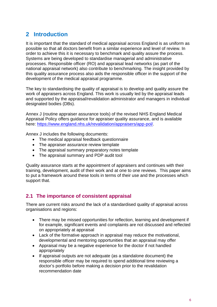# <span id="page-5-0"></span>**2 Introduction**

It is important that the standard of medical appraisal across England is as uniform as possible so that all doctors benefit from a similar experience and level of review. In order to achieve this it is necessary to benchmark and quality assure the process. Systems are being developed to standardise managerial and administrative processes. Responsible officer (RO) and appraisal lead networks (as part of the national appraisal network) also contribute to benchmarking. The insight provided by this quality assurance process also aids the responsible officer in the support of the development of the medical appraisal programme.

The key to standardising the quality of appraisal is to develop and quality assure the work of appraisers across England. This work is usually led by the appraisal leads and supported by the appraisal/revalidation administrator and managers in individual designated bodies (DBs).

Annex J (routine appraiser assurance tools) of the revised NHS England Medical Appraisal Policy offers guidance for appraiser quality assurance, and is available here: [https://www.england.nhs.uk/revalidation/appraisers/app-pol/.](https://www.england.nhs.uk/revalidation/appraisers/app-pol/)

Annex J includes the following documents:

- The medical appraisal feedback questionnaire
- The appraiser assurance review template
- The appraisal summary preparatory notes template
- The appraisal summary and PDP audit tool

Quality assurance starts at the appointment of appraisers and continues with their training, development, audit of their work and at one to one reviews. This paper aims to put a framework around these tools in terms of their use and the processes which support that.

### <span id="page-5-1"></span>**2.1 The importance of consistent appraisal**

There are current risks around the lack of a standardised quality of appraisal across organisations and regions:

- There may be missed opportunities for reflection, learning and development if for example, significant events and complaints are not discussed and reflected on appropriately at appraisal
- Lack of the formative approach in appraisal may reduce the motivational, developmental and mentoring opportunities that an appraisal may offer
- Appraisal may be a negative experience for the doctor if not handled appropriately
- If appraisal outputs are not adequate (as a standalone document) the responsible officer may be required to spend additional time reviewing a doctor's portfolio before making a decision prior to the revalidation recommendation date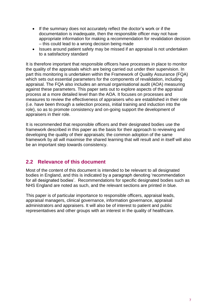- If the summary does not accurately reflect the doctor's work or if the documentation is inadequate, then the responsible officer may not have appropriate information for making a recommendation for revalidation decision – this could lead to a wrong decision being made
- Issues around patient safety may be missed if an appraisal is not undertaken to a satisfactory standard

It is therefore important that responsible officers have processes in place to monitor the quality of the appraisals which are being carried out under their supervision. In part this monitoring is undertaken within the Framework of Quality Assurance (FQA) which sets out essential parameters for the components of revalidation, including appraisal. The FQA also includes an annual organisational audit (AOA) measuring against these parameters. This paper sets out to explore aspects of the appraisal process at a more detailed level than the AOA. It focuses on processes and measures to review the effectiveness of appraisers who are established in their role (i.e. have been through a selection process, initial training and induction into the role), so as to promote consistency and on-going support the development of appraisers in their role.

It is recommended that responsible officers and their designated bodies use the framework described in this paper as the basis for their approach to reviewing and developing the quality of their appraisals; the common adoption of the same framework by all will maximise the shared learning that will result and in itself will also be an important step towards consistency.

## <span id="page-6-0"></span>**2.2 Relevance of this document**

Most of the content of this document is intended to be relevant to all designated bodies in England, and this is indicated by a paragraph denoting 'recommendation for all designated bodies'. Recommendations for specific designated bodies such as NHS England are noted as such, and the relevant sections are printed in blue.

This paper is of particular importance to responsible officers, appraisal leads, appraisal managers, clinical governance, information governance, appraisal administrators and appraisers. It will also be of interest to patient and public representatives and other groups with an interest in the quality of healthcare.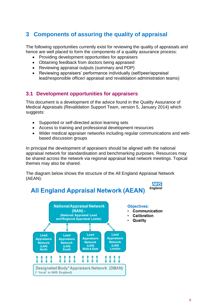# <span id="page-7-0"></span>**3 Components of assuring the quality of appraisal**

The following opportunities currently exist for reviewing the quality of appraisals and hence are well placed to form the components of a quality assurance process:

- Providing development opportunities for appraisers
- Obtaining feedback from doctors being appraised
- Reviewing appraisal outputs (summary and PDP)
- Reviewing appraisers' performance individually (self/peer/appraisal lead/responsible officer/ appraisal and revalidation administration teams)

## <span id="page-7-1"></span>**3.1 Development opportunities for appraisers**

This document is a development of the advice found in the Quality Assurance of Medical Appraisals (Revalidation Support Team, version 5, January 2014) which suggests:

- Supported or self-directed action learning sets
- Access to training and professional development resources
- Wider medical appraiser networks including regular communications and webbased discussion groups

**NHS** 

In principal the development of appraisers should be aligned with the national appraisal network for standardisation and benchmarking purposes. Resources may be shared across the network via regional appraisal lead network meetings. Topical themes may also be shared.

The diagram below shows the structure of the All England Appraisal Network (AEAN):



#### England **All England Appraisal Network (AEAN)**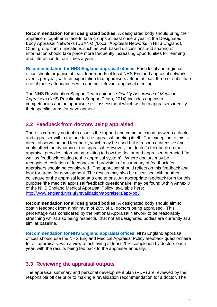**Recommendation for all designated bodies:** A designated body should bring their appraisers together in face to face groups at least once a year in the Designated Body Appraisal Networks (DBANs) ('Local' Appraisal Networks in NHS England). Other group communications such as web based discussions and sharing of information should take place more frequently increasing opportunities for learning and interaction to four times a year.

**Recommendation for NHS England appraisal offices**: Each local and regional office should organise at least four rounds of local NHS England appraisal network events per year, with an expectation that appraisers attend at least three or substitute one of these attendances with another relevant appraisal meeting.

The NHS Revalidation Support Team guidance *Quality Assurance of Medical Appraisers* (NHS Revalidation Support Team, 2014) includes appraiser competencies and an appraiser self- assessment which will help appraisers identify their specific areas for development.

## <span id="page-8-0"></span>**3.2 Feedback from doctors being appraised**

There is currently no tool to assess the rapport and communication between a doctor and appraiser within the one to one appraisal meeting itself. The exception to this is direct observation and feedback, which may be used but is resource intensive and could affect the dynamic of the appraisal. However, the doctor's feedback on their appraisal provides information relating to how the doctor and appraiser interacted (as well as feedback relating to the appraisal system). Where doctors may be recognised, collation of feedback and provision of a summary of feedback for appraisers should be considered. The appraiser should reflect on this feedback and look for areas for development. The results may also be discussed with another colleague or the appraisal lead at a one to one. An appropriate feedback form for this purpose 'the medical appraisal feedback questionnaire' may be found within Annex J of the NHS England Medical Appraisal Policy, available here: [http://www.england.nhs.uk/revalidation/appraisers/app-pol/.](http://www.england.nhs.uk/revalidation/appraisers/app-pol/)

**Recommendation for all designated bodies:** A designated body should aim to obtain feedback from a minimum of 20% of all doctors being appraised. This percentage was considered by the National Appraisal Network to be reasonably stretching whilst also being respectful that not all designated bodies are currently at a similar baseline.

**Recommendation for NHS England appraisal offices**: NHS England appraisal offices should use the NHS England Medical Appraisal Policy feedback questionnaire for all appraisals, with a view to achieving at least 20% completion by doctors each year, with the results being fed back to the appraiser annually.

# <span id="page-8-1"></span>**3.3 Reviewing the appraisal outputs**

The appraisal summary and personal development plan (PDP) are reviewed by the responsible officer prior to making a revalidation recommendation for a doctor. The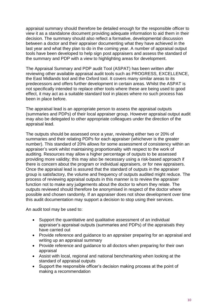appraisal summary should therefore be detailed enough for the responsible officer to view it as a standalone document providing adequate information to aid them in their decision. The summary should also reflect a formative, developmental discussion between a doctor and their appraiser documenting what they have achieved in the last year and what they plan to do in the coming year. A number of appraisal output tools have been developed to help sign post appraisers and assess the standard of the summary and PDP with a view to highlighting areas for development.

The Appraisal Summary and PDP audit Tool (ASPAT) has been written after reviewing other available appraisal audit tools such as PROGRESS, EXCELLENCE, the East Midlands tool and the Oxford tool. It covers many similar areas to its predecessors and offers further development in certain areas. Whilst the ASPAT is not specifically intended to replace other tools where these are being used to good effect, it may act as a suitable standard tool in places where no such process has been in place before.

The appraisal lead is an appropriate person to assess the appraisal outputs (summaries and PDPs) of their local appraiser group. However appraisal output audit may also be delegated to other appropriate colleagues under the direction of the appraisal lead.

The outputs should be assessed once a year, reviewing either two or 20% of summaries and their relating PDPs for each appraiser (whichever is the greater number). This standard of 20% allows for some assessment of consistency within an appraiser's work whilst maintaining proportionality with respect to the work of auditing. Resources may allow a higher percentage of outputs to be assessed providing more validity; this may also be necessary using a risk-based approach if there is concern about the program or individual appraisers, or for new appraisers. Once the appraisal lead is assured that the standard of outputs in the appraiser group is satisfactory, the volume and frequency of outputs audited might reduce. The process of reviewing appraisal outputs in this manner is to review the appraiser function not to make any judgements about the doctor to whom they relate. The outputs reviewed should therefore be anonymised in respect of the doctor where possible and chosen randomly. If an appraiser does not show development over time this audit documentation may support a decision to stop using their services.

An audit tool may be used to:

- Support the quantitative and qualitative assessment of an individual appraiser's appraisal outputs (summaries and PDPs) of the appraisals they have carried out
- Provide reference and guidance to an appraiser preparing for an appraisal and writing up an appraisal summary
- Provide reference and guidance to all doctors when preparing for their own appraisal
- Assist with local, regional and national benchmarking when looking at the standard of appraisal outputs
- Support the responsible officer's decision making process at the point of making a recommendation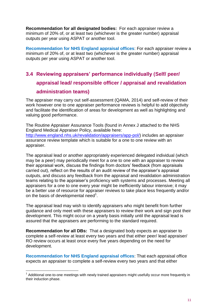**Recommendation for all designated bodies:** For each appraiser review a minimum of 20% of, or at least two (whichever is the greater number) appraisal outputs per year using ASPAT or another tool.

**Recommendation for NHS England appraisal offices**: For each appraiser review a minimum of 20% of, or at least two (whichever is the greater number) appraisal outputs per year using ASPAT or another tool.

# <span id="page-10-0"></span>**3.4 Reviewing appraisers' performance individually (Self/ peer/ appraisal lead/ responsible officer / appraisal and revalidation administration teams)**

The appraiser may carry out self-assessment (QAMA, 2014) and self-review of their work however one to one appraiser performance reviews is helpful to add objectivity and facilitate the identification of areas for development as well as highlighting and valuing good performance.

The Routine Appraiser Assurance Tools (found in Annex J attached to the NHS England Medical Appraiser Policy, available here: [http://www.england.nhs.uk/revalidation/appraisers/app-pol/\)](http://www.england.nhs.uk/revalidation/appraisers/app-pol/) includes an appraiser assurance review template which is suitable for a one to one review with an appraiser.

The appraisal lead or another appropriately experienced delegated individual (which may be a peer) may periodically meet for a one to one with an appraiser to review their appraisal work, discuss the findings from doctors' feedback (from appraisals carried out), reflect on the results of an audit review of the appraiser's appraisal outputs, and discuss any feedback from the appraisal and revalidation administration teams relating to the appraiser's proficiency with systems and processes. Meeting all appraisers for a one to one every year might be inefficiently labour intensive; it may be a better use of resource for appraiser reviews to take place less frequently and/or on the basis of developmental need $^1$ .

The appraisal lead may wish to identify appraisers who might benefit from further guidance and only meet with these appraisers to review their work and sign post their development. This might occur on a yearly basis initially until the appraisal lead is assured that the appraisers are performing to the standard required.

**Recommendation for all DBs:** That a designated body expects an appraiser to complete a self-review at least every two years and that either peer/ lead appraiser/ RO review occurs at least once every five years depending on the need for development.

**Recommendation for NHS England appraisal offices**: That each appraisal office expects an appraiser to complete a self-review every two years and that either

 1 Additional one-to-one meetings with newly trained appraisers might usefully occur more frequently in their induction phase.